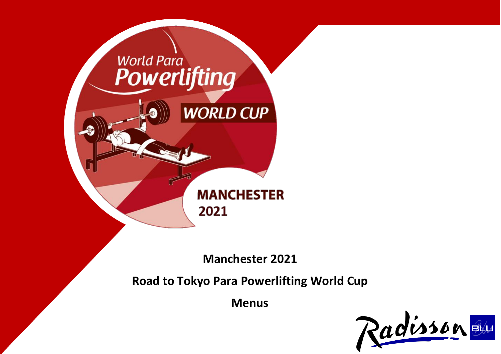

**Manchester 2021**

**Road to Tokyo Para Powerlifting World Cup**

**Menus**

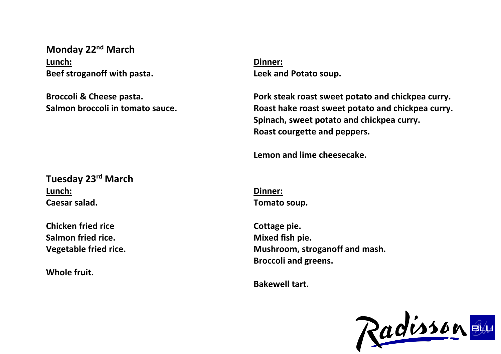**Monday 22nd March Lunch: Beef stroganoff with pasta.**

**Broccoli & Cheese pasta. Salmon broccoli in tomato sauce.** **Dinner: Leek and Potato soup.**

**Pork steak roast sweet potato and chickpea curry. Roast hake roast sweet potato and chickpea curry. Spinach, sweet potato and chickpea curry. Roast courgette and peppers.**

**Lemon and lime cheesecake.**

**Tuesday 23rd March Lunch: Caesar salad.**

**Chicken fried rice Salmon fried rice. Vegetable fried rice.**

**Whole fruit.**

**Dinner: Tomato soup.**

**Cottage pie. Mixed fish pie. Mushroom, stroganoff and mash. Broccoli and greens.**

**Bakewell tart.**

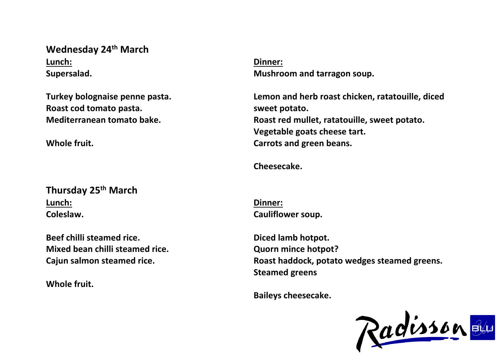## **Wednesday 24th March Lunch: Supersalad.**

**Turkey bolognaise penne pasta. Roast cod tomato pasta. Mediterranean tomato bake.**

**Whole fruit.**

**Thursday 25th March Lunch: Coleslaw.**

**Beef chilli steamed rice. Mixed bean chilli steamed rice. Cajun salmon steamed rice.**

**Whole fruit.**

**Dinner: Mushroom and tarragon soup.**

**Lemon and herb roast chicken, ratatouille, diced sweet potato. Roast red mullet, ratatouille, sweet potato. Vegetable goats cheese tart. Carrots and green beans.**

**Cheesecake.**

**Dinner: Cauliflower soup.**

**Diced lamb hotpot. Quorn mince hotpot? Roast haddock, potato wedges steamed greens. Steamed greens**

**Baileys cheesecake.**

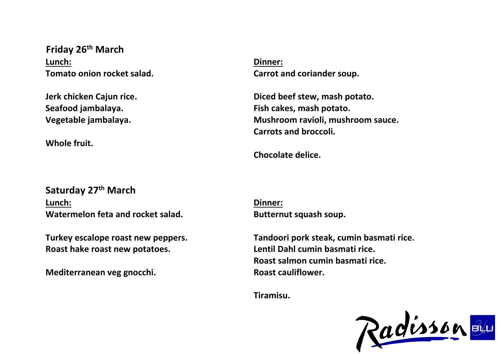**Friday 26th March Lunch: Tomato onion rocket salad.**

**Jerk chicken Cajun rice. Seafood jambalaya. Vegetable jambalaya.**

**Whole fruit.**

**Dinner: Carrot and coriander soup.**

**Diced beef stew, mash potato. Fish cakes, mash potato. Mushroom ravioli, mushroom sauce. Carrots and broccoli.**

**Chocolate delice.**

**Saturday 27th March Lunch: Watermelon feta and rocket salad.**

**Turkey escalope roast new peppers. Roast hake roast new potatoes.**

**Mediterranean veg gnocchi.**

**Dinner: Butternut squash soup.**

**Tandoori pork steak, cumin basmati rice. Lentil Dahl cumin basmati rice. Roast salmon cumin basmati rice. Roast cauliflower.**

**Tiramisu.**